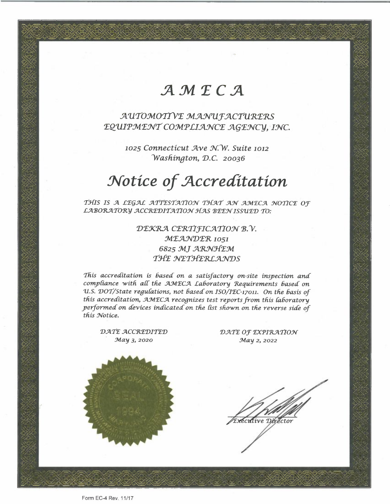# AMECA

AUTOMOTIVE MANUFACTURERS EQUIPMENT COMPLIANCE AGENCY, INC.

> 1025 Connecticut Ave N.W. Suite 1012 Washington, D.C. 20036

# Notice of Accreditation

THIS IS A LEGAL ATTESTATION THAT AN AMECA NOTICE OF LABORATORY ACCREDITATION HAS BEEN ISSUED TO:

> DEKRA CERTIFICATION B.V. MEANDER 1051 6825 MJ ARNHEM THE NETHERLANDS

This accreditation is based on a satisfactory on-site inspection and compliance with all the AMECA Laboratory Requirements based on U.S. DOT/State regulations, not based on ISO/IEC-17011. On the basis of this accreditation, AMECA recognizes test reports from this laboratory performed on devices indicated on the list shown on the reverse side of this Notice.

DATE ACCREDITED May 3, 2020

DATE OF EXPIRATION May 2, 2022



Executive Director

Form EC-4 Rev. 11/17